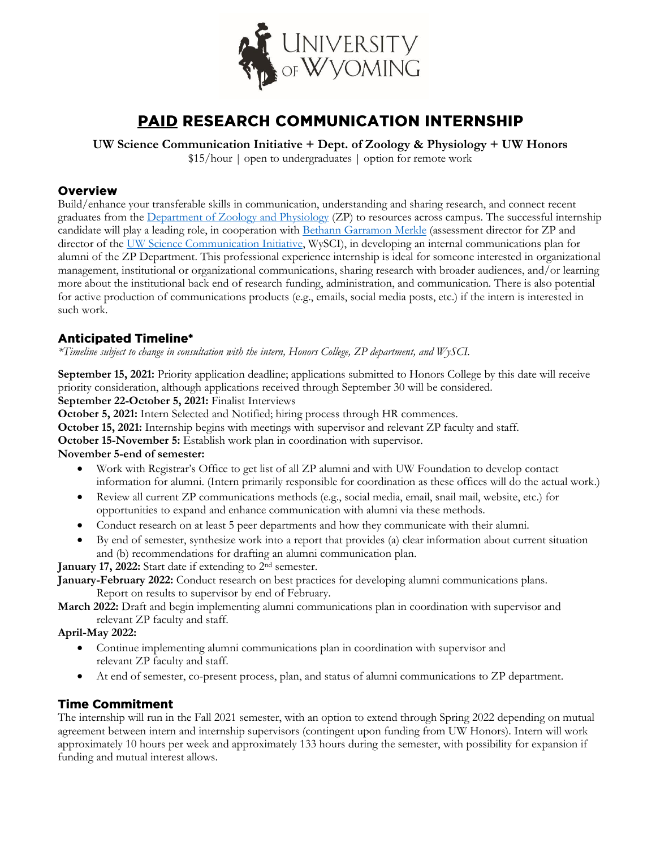

# **PAID RESEARCH COMMUNICATION INTERNSHIP**

**UW Science Communication Initiative + Dept. of Zoology & Physiology + UW Honors**

\$15/hour | open to undergraduates | option for remote work

### **Overview**

Build/enhance your transferable skills in communication, understanding and sharing research, and connect recent graduates from the [Department of Zoology and Physiology](http://www.uwyo.edu/zoology/index.html) (ZP) to resources across campus. The successful internship candidate will play a leading role, in cooperation with [Bethann Garramon Merkle](http://www.uwyo.edu/zoology/people/http:/www.uwyo.edu/zoology/people/merkle-b.html-b.html) (assessment director for ZP and director of the [UW Science Communication Initiative,](http://www.uwyo.edu/wysci/index.html) WySCI), in developing an internal communications plan for alumni of the ZP Department. This professional experience internship is ideal for someone interested in organizational management, institutional or organizational communications, sharing research with broader audiences, and/or learning more about the institutional back end of research funding, administration, and communication. There is also potential for active production of communications products (e.g., emails, social media posts, etc.) if the intern is interested in such work.

# **Anticipated Timeline\***

*\*Timeline subject to change in consultation with the intern, Honors College, ZP department, and WySCI.*

**September 15, 2021:** Priority application deadline; applications submitted to Honors College by this date will receive priority consideration, although applications received through September 30 will be considered.

**September 22-October 5, 2021:** Finalist Interviews

**October 5, 2021:** Intern Selected and Notified; hiring process through HR commences.

**October 15, 2021:** Internship begins with meetings with supervisor and relevant ZP faculty and staff.

**October 15-November 5:** Establish work plan in coordination with supervisor.

#### **November 5-end of semester:**

- Work with Registrar's Office to get list of all ZP alumni and with UW Foundation to develop contact information for alumni. (Intern primarily responsible for coordination as these offices will do the actual work.)
- Review all current ZP communications methods (e.g., social media, email, snail mail, website, etc.) for opportunities to expand and enhance communication with alumni via these methods.
- Conduct research on at least 5 peer departments and how they communicate with their alumni.
- By end of semester, synthesize work into a report that provides (a) clear information about current situation and (b) recommendations for drafting an alumni communication plan.

**January 17, 2022:** Start date if extending to 2<sup>nd</sup> semester.

**January-February 2022:** Conduct research on best practices for developing alumni communications plans. Report on results to supervisor by end of February.

**March 2022:** Draft and begin implementing alumni communications plan in coordination with supervisor and relevant ZP faculty and staff.

### **April-May 2022:**

- Continue implementing alumni communications plan in coordination with supervisor and relevant ZP faculty and staff.
- At end of semester, co-present process, plan, and status of alumni communications to ZP department.

# **Time Commitment**

The internship will run in the Fall 2021 semester, with an option to extend through Spring 2022 depending on mutual agreement between intern and internship supervisors (contingent upon funding from UW Honors). Intern will work approximately 10 hours per week and approximately 133 hours during the semester, with possibility for expansion if funding and mutual interest allows.